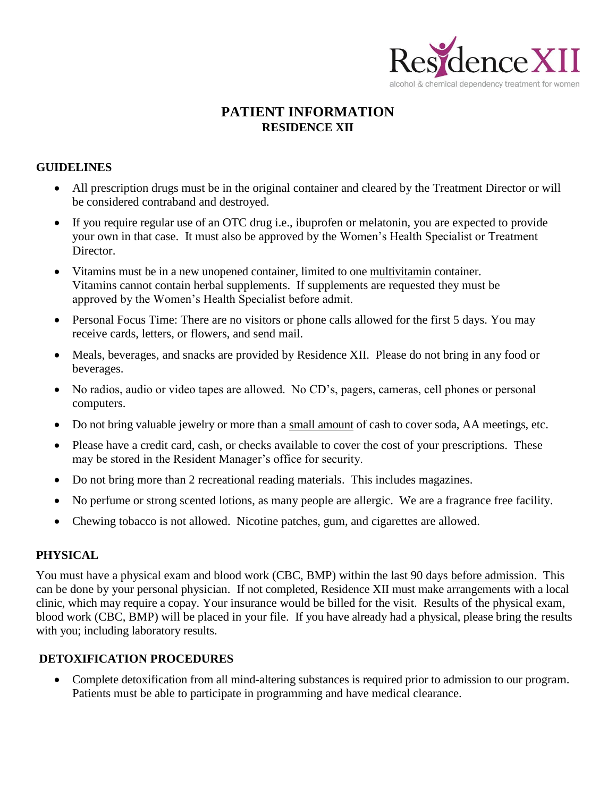

# **PATIENT INFORMATION RESIDENCE XII**

#### **GUIDELINES**

- All prescription drugs must be in the original container and cleared by the Treatment Director or will be considered contraband and destroyed.
- If you require regular use of an OTC drug i.e., ibuprofen or melatonin, you are expected to provide your own in that case. It must also be approved by the Women's Health Specialist or Treatment Director.
- Vitamins must be in a new unopened container, limited to one multivitamin container. Vitamins cannot contain herbal supplements. If supplements are requested they must be approved by the Women's Health Specialist before admit.
- Personal Focus Time: There are no visitors or phone calls allowed for the first 5 days. You may receive cards, letters, or flowers, and send mail.
- Meals, beverages, and snacks are provided by Residence XII. Please do not bring in any food or beverages.
- No radios, audio or video tapes are allowed. No CD's, pagers, cameras, cell phones or personal computers.
- Do not bring valuable jewelry or more than a small amount of cash to cover soda, AA meetings, etc.
- Please have a credit card, cash, or checks available to cover the cost of your prescriptions. These may be stored in the Resident Manager's office for security.
- Do not bring more than 2 recreational reading materials. This includes magazines.
- No perfume or strong scented lotions, as many people are allergic. We are a fragrance free facility.
- Chewing tobacco is not allowed. Nicotine patches, gum, and cigarettes are allowed.

#### **PHYSICAL**

You must have a physical exam and blood work (CBC, BMP) within the last 90 days before admission. This can be done by your personal physician. If not completed, Residence XII must make arrangements with a local clinic, which may require a copay. Your insurance would be billed for the visit. Results of the physical exam, blood work (CBC, BMP) will be placed in your file. If you have already had a physical, please bring the results with you; including laboratory results.

#### **DETOXIFICATION PROCEDURES**

 Complete detoxification from all mind-altering substances is required prior to admission to our program. Patients must be able to participate in programming and have medical clearance.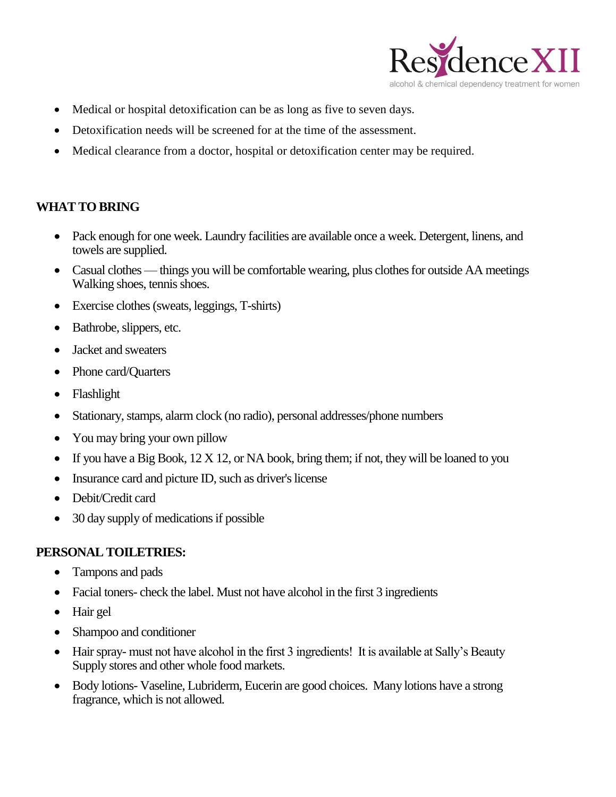

- Medical or hospital detoxification can be as long as five to seven days.
- Detoxification needs will be screened for at the time of the assessment.
- Medical clearance from a doctor, hospital or detoxification center may be required.

### **WHAT TO BRING**

- Pack enough for one week. Laundry facilities are available once a week. Detergent, linens, and towels are supplied.
- Casual clothes things you will be comfortable wearing, plus clothes for outside AA meetings Walking shoes, tennis shoes.
- Exercise clothes (sweats, leggings, T-shirts)
- Bathrobe, slippers, etc.
- Jacket and sweaters
- Phone card/Quarters
- Flashlight
- Stationary, stamps, alarm clock (no radio), personal addresses/phone numbers
- You may bring your own pillow
- If you have a Big Book,  $12 \times 12$ , or NA book, bring them; if not, they will be loaned to you
- Insurance card and picture ID, such as driver's license
- Debit/Credit card
- 30 day supply of medications if possible

#### **PERSONAL TOILETRIES:**

- Tampons and pads
- Facial toners- check the label. Must not have alcohol in the first 3 ingredients
- Hair gel
- Shampoo and conditioner
- Hair spray- must not have alcohol in the first 3 ingredients! It is available at Sally's Beauty Supply stores and other whole food markets.
- Body lotions- Vaseline, Lubriderm, Eucerin are good choices. Many lotions have a strong fragrance, which is not allowed.